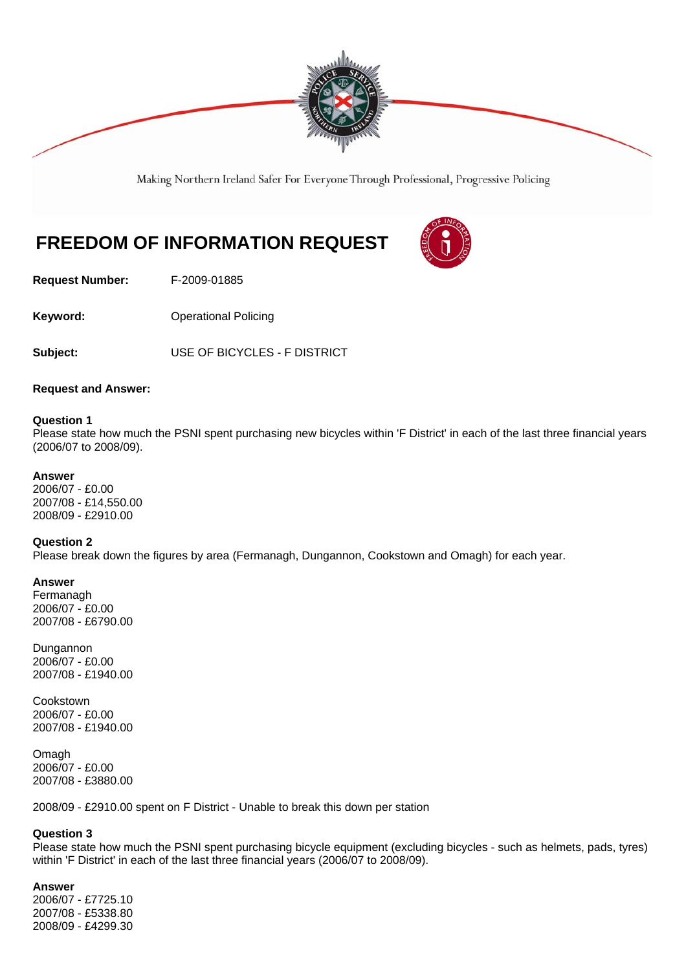

Making Northern Ireland Safer For Everyone Through Professional, Progressive Policing

# **FREEDOM OF INFORMATION REQUEST**



**Request Number:** F-2009-01885

**Keyword: Conservery Operational Policing** 

**Subject:** USE OF BICYCLES - F DISTRICT

**Request and Answer:** 

## **Question 1**

Please state how much the PSNI spent purchasing new bicycles within 'F District' in each of the last three financial years (2006/07 to 2008/09).

## **Answer**

2006/07 - £0.00 2007/08 - £14,550.00 2008/09 - £2910.00

#### **Question 2**

Please break down the figures by area (Fermanagh, Dungannon, Cookstown and Omagh) for each year.

#### **Answer**

Fermanagh 2006/07 - £0.00 2007/08 - £6790.00

Dungannon 2006/07 - £0.00 2007/08 - £1940.00

Cookstown 2006/07 - £0.00 2007/08 - £1940.00

Omagh 2006/07 - £0.00 2007/08 - £3880.00

2008/09 - £2910.00 spent on F District - Unable to break this down per station

# **Question 3**

Please state how much the PSNI spent purchasing bicycle equipment (excluding bicycles - such as helmets, pads, tyres) within 'F District' in each of the last three financial years (2006/07 to 2008/09).

# **Answer**

2006/07 - £7725.10 2007/08 - £5338.80 2008/09 - £4299.30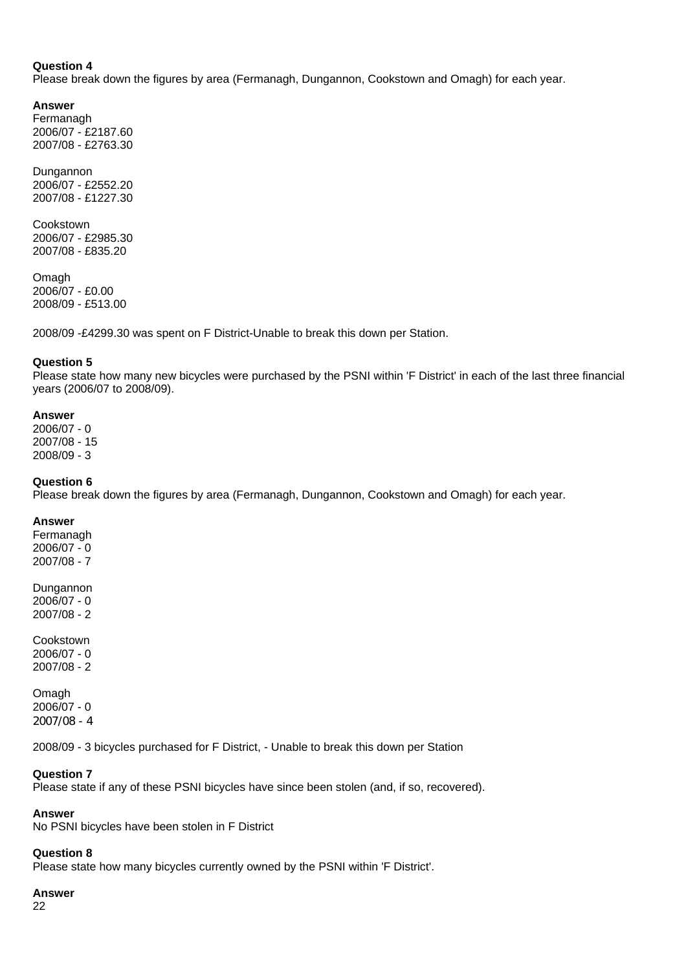### **Question 4**

Please break down the figures by area (Fermanagh, Dungannon, Cookstown and Omagh) for each year.

### **Answer**

Fermanagh 2006/07 - £2187.60 2007/08 - £2763.30

**Dungannon** 2006/07 - £2552.20 2007/08 - £1227.30

Cookstown 2006/07 - £2985.30 2007/08 - £835.20

Omagh 2006/07 - £0.00 2008/09 - £513.00

2008/09 -£4299.30 was spent on F District-Unable to break this down per Station.

## **Question 5**

Please state how many new bicycles were purchased by the PSNI within 'F District' in each of the last three financial years (2006/07 to 2008/09).

## **Answer**

2006/07 - 0 2007/08 - 15 2008/09 - 3

## **Question 6**

Please break down the figures by area (Fermanagh, Dungannon, Cookstown and Omagh) for each year.

## **Answer**

Fermanagh 2006/07 - 0 2007/08 - 7

Dungannon 2006/07 - 0 2007/08 - 2

Cookstown 2006/07 - 0 2007/08 - 2

Omagh 2006/07 - 0 2007/08 - 4

2008/09 - 3 bicycles purchased for F District, - Unable to break this down per Station

# **Question 7**

Please state if any of these PSNI bicycles have since been stolen (and, if so, recovered).

# **Answer**

No PSNI bicycles have been stolen in F District

#### **Question 8**

Please state how many bicycles currently owned by the PSNI within 'F District'.

#### **Answer**

22